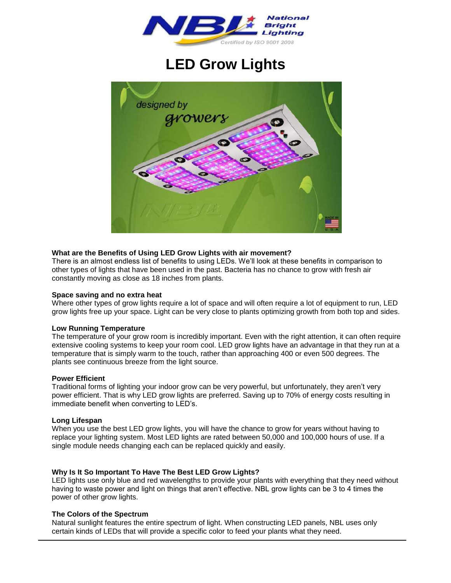

# **LED Grow Lights**



# **What are the Benefits of Using LED Grow Lights with air movement?**

There is an almost endless list of benefits to using LEDs. We'll look at these benefits in comparison to other types of lights that have been used in the past. Bacteria has no chance to grow with fresh air constantly moving as close as 18 inches from plants.

#### **Space saving and no extra heat**

Where other types of grow lights require a lot of space and will often require a lot of equipment to run, LED grow lights free up your space. Light can be very close to plants optimizing growth from both top and sides.

#### **Low Running Temperature**

The temperature of your grow room is incredibly important. Even with the right attention, it can often require extensive cooling systems to keep your room cool. LED grow lights have an advantage in that they run at a temperature that is simply warm to the touch, rather than approaching 400 or even 500 degrees. The plants see continuous breeze from the light source.

#### **Power Efficient**

Traditional forms of lighting your indoor grow can be very powerful, but unfortunately, they aren't very power efficient. That is why LED grow lights are preferred. Saving up to 70% of energy costs resulting in immediate benefit when converting to LED's.

#### **Long Lifespan**

When you use the best LED grow lights, you will have the chance to grow for years without having to replace your lighting system. Most LED lights are rated between 50,000 and 100,000 hours of use. If a single module needs changing each can be replaced quickly and easily.

#### **Why Is It So Important To Have The Best LED Grow Lights?**

LED lights use only blue and red wavelengths to provide your plants with everything that they need without having to waste power and light on things that aren't effective. NBL grow lights can be 3 to 4 times the power of other grow lights.

#### **The Colors of the Spectrum**

Natural sunlight features the entire spectrum of light. When constructing LED panels, NBL uses only certain kinds of LEDs that will provide a specific color to feed your plants what they need.